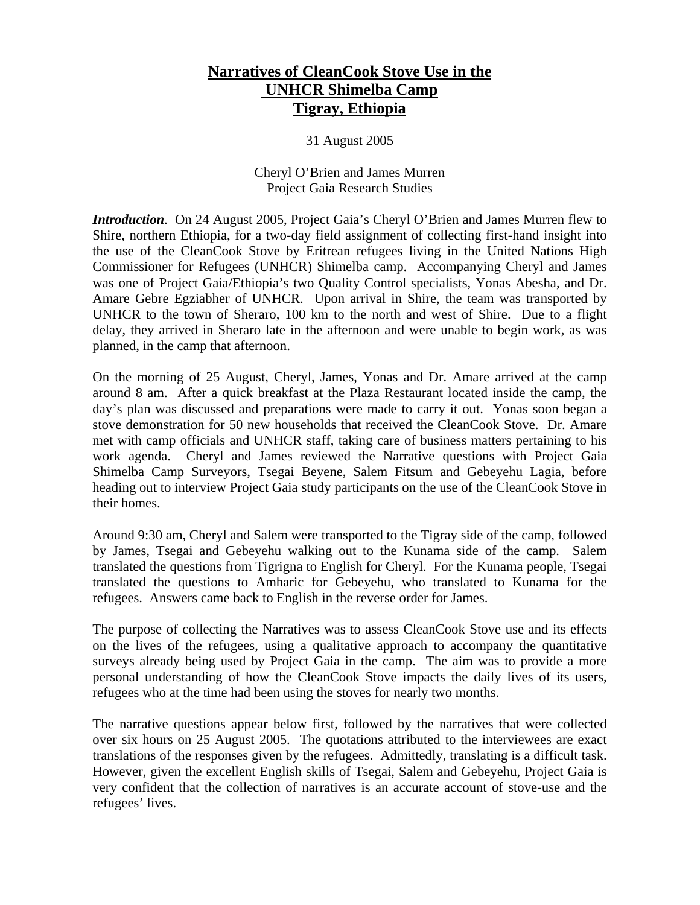# **Narratives of CleanCook Stove Use in the UNHCR Shimelba Camp Tigray, Ethiopia**

31 August 2005

# Cheryl O'Brien and James Murren Project Gaia Research Studies

*Introduction*. On 24 August 2005, Project Gaia's Cheryl O'Brien and James Murren flew to Shire, northern Ethiopia, for a two-day field assignment of collecting first-hand insight into the use of the CleanCook Stove by Eritrean refugees living in the United Nations High Commissioner for Refugees (UNHCR) Shimelba camp. Accompanying Cheryl and James was one of Project Gaia/Ethiopia's two Quality Control specialists, Yonas Abesha, and Dr. Amare Gebre Egziabher of UNHCR. Upon arrival in Shire, the team was transported by UNHCR to the town of Sheraro, 100 km to the north and west of Shire. Due to a flight delay, they arrived in Sheraro late in the afternoon and were unable to begin work, as was planned, in the camp that afternoon.

On the morning of 25 August, Cheryl, James, Yonas and Dr. Amare arrived at the camp around 8 am. After a quick breakfast at the Plaza Restaurant located inside the camp, the day's plan was discussed and preparations were made to carry it out. Yonas soon began a stove demonstration for 50 new households that received the CleanCook Stove. Dr. Amare met with camp officials and UNHCR staff, taking care of business matters pertaining to his work agenda. Cheryl and James reviewed the Narrative questions with Project Gaia Shimelba Camp Surveyors, Tsegai Beyene, Salem Fitsum and Gebeyehu Lagia, before heading out to interview Project Gaia study participants on the use of the CleanCook Stove in their homes.

Around 9:30 am, Cheryl and Salem were transported to the Tigray side of the camp, followed by James, Tsegai and Gebeyehu walking out to the Kunama side of the camp. Salem translated the questions from Tigrigna to English for Cheryl. For the Kunama people, Tsegai translated the questions to Amharic for Gebeyehu, who translated to Kunama for the refugees. Answers came back to English in the reverse order for James.

The purpose of collecting the Narratives was to assess CleanCook Stove use and its effects on the lives of the refugees, using a qualitative approach to accompany the quantitative surveys already being used by Project Gaia in the camp. The aim was to provide a more personal understanding of how the CleanCook Stove impacts the daily lives of its users, refugees who at the time had been using the stoves for nearly two months.

The narrative questions appear below first, followed by the narratives that were collected over six hours on 25 August 2005. The quotations attributed to the interviewees are exact translations of the responses given by the refugees. Admittedly, translating is a difficult task. However, given the excellent English skills of Tsegai, Salem and Gebeyehu, Project Gaia is very confident that the collection of narratives is an accurate account of stove-use and the refugees' lives.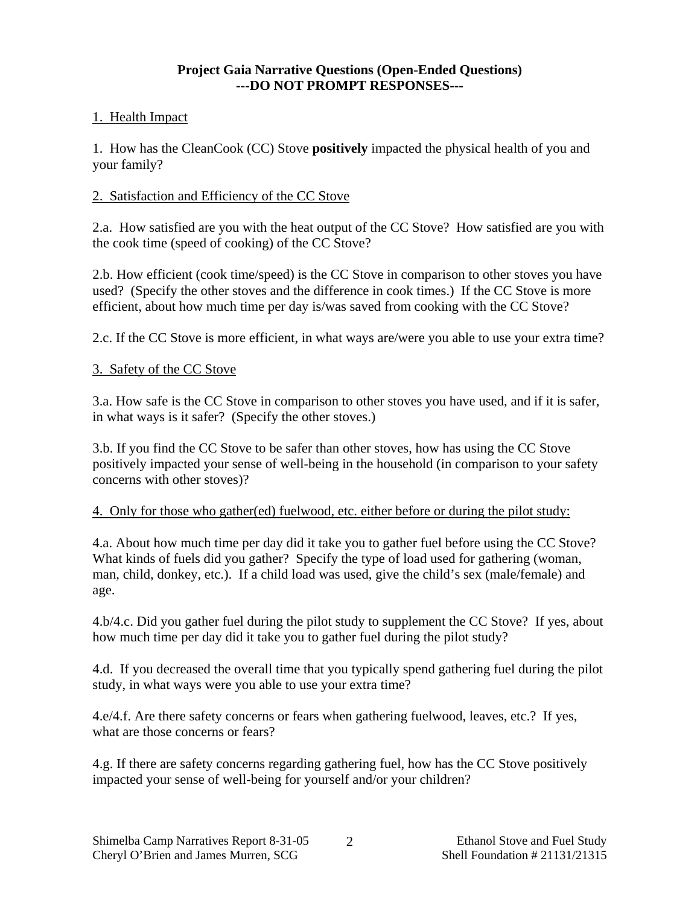#### **Project Gaia Narrative Questions (Open-Ended Questions) ---DO NOT PROMPT RESPONSES---**

# 1. Health Impact

1. How has the CleanCook (CC) Stove **positively** impacted the physical health of you and your family?

# 2. Satisfaction and Efficiency of the CC Stove

2.a. How satisfied are you with the heat output of the CC Stove? How satisfied are you with the cook time (speed of cooking) of the CC Stove?

2.b. How efficient (cook time/speed) is the CC Stove in comparison to other stoves you have used? (Specify the other stoves and the difference in cook times.) If the CC Stove is more efficient, about how much time per day is/was saved from cooking with the CC Stove?

2.c. If the CC Stove is more efficient, in what ways are/were you able to use your extra time?

# 3. Safety of the CC Stove

3.a. How safe is the CC Stove in comparison to other stoves you have used, and if it is safer, in what ways is it safer? (Specify the other stoves.)

3.b. If you find the CC Stove to be safer than other stoves, how has using the CC Stove positively impacted your sense of well-being in the household (in comparison to your safety concerns with other stoves)?

# 4. Only for those who gather(ed) fuelwood, etc. either before or during the pilot study:

4.a. About how much time per day did it take you to gather fuel before using the CC Stove? What kinds of fuels did you gather? Specify the type of load used for gathering (woman, man, child, donkey, etc.). If a child load was used, give the child's sex (male/female) and age.

4.b/4.c. Did you gather fuel during the pilot study to supplement the CC Stove? If yes, about how much time per day did it take you to gather fuel during the pilot study?

4.d. If you decreased the overall time that you typically spend gathering fuel during the pilot study, in what ways were you able to use your extra time?

4.e/4.f. Are there safety concerns or fears when gathering fuelwood, leaves, etc.? If yes, what are those concerns or fears?

4.g. If there are safety concerns regarding gathering fuel, how has the CC Stove positively impacted your sense of well-being for yourself and/or your children?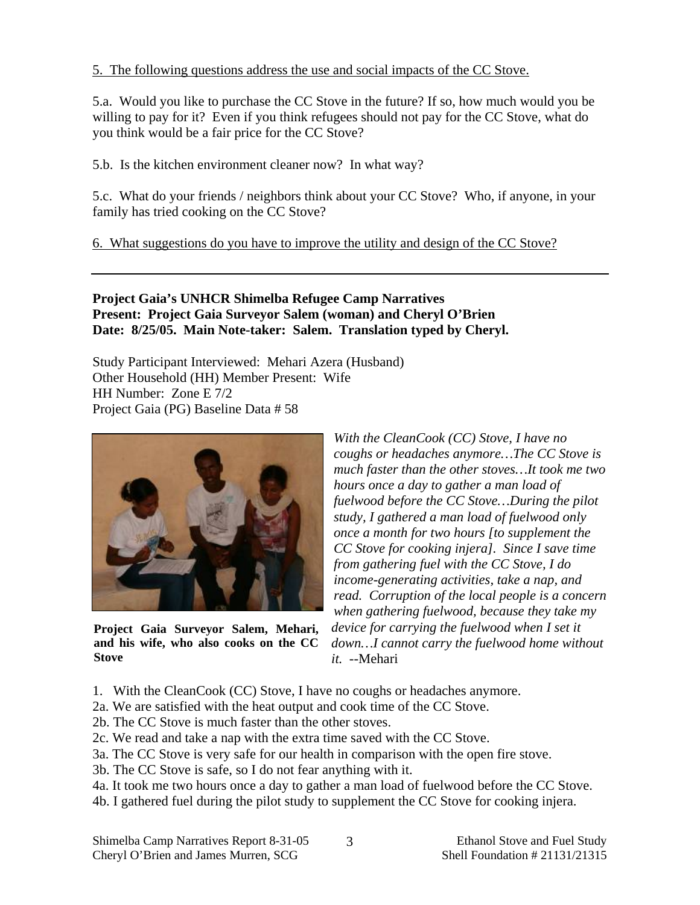#### 5. The following questions address the use and social impacts of the CC Stove.

5.a. Would you like to purchase the CC Stove in the future? If so, how much would you be willing to pay for it? Even if you think refugees should not pay for the CC Stove, what do you think would be a fair price for the CC Stove?

5.b. Is the kitchen environment cleaner now? In what way?

5.c. What do your friends / neighbors think about your CC Stove? Who, if anyone, in your family has tried cooking on the CC Stove?

6. What suggestions do you have to improve the utility and design of the CC Stove?

#### **Project Gaia's UNHCR Shimelba Refugee Camp Narratives Present: Project Gaia Surveyor Salem (woman) and Cheryl O'Brien Date: 8/25/05. Main Note-taker: Salem. Translation typed by Cheryl.**

Study Participant Interviewed: Mehari Azera (Husband) Other Household (HH) Member Present: Wife HH Number: Zone E 7/2 Project Gaia (PG) Baseline Data # 58



**Project Gaia Surveyor Salem, Mehari, and his wife, who also cooks on the CC Stove** 

*With the CleanCook (CC) Stove, I have no coughs or headaches anymore…The CC Stove is much faster than the other stoves…It took me two hours once a day to gather a man load of fuelwood before the CC Stove…During the pilot study, I gathered a man load of fuelwood only once a month for two hours [to supplement the CC Stove for cooking injera]. Since I save time from gathering fuel with the CC Stove, I do income-generating activities, take a nap, and read. Corruption of the local people is a concern when gathering fuelwood, because they take my device for carrying the fuelwood when I set it down…I cannot carry the fuelwood home without it.* --Mehari

- 1. With the CleanCook (CC) Stove, I have no coughs or headaches anymore.
- 2a. We are satisfied with the heat output and cook time of the CC Stove.
- 2b. The CC Stove is much faster than the other stoves.
- 2c. We read and take a nap with the extra time saved with the CC Stove.
- 3a. The CC Stove is very safe for our health in comparison with the open fire stove.
- 3b. The CC Stove is safe, so I do not fear anything with it.
- 4a. It took me two hours once a day to gather a man load of fuelwood before the CC Stove.
- 4b. I gathered fuel during the pilot study to supplement the CC Stove for cooking injera.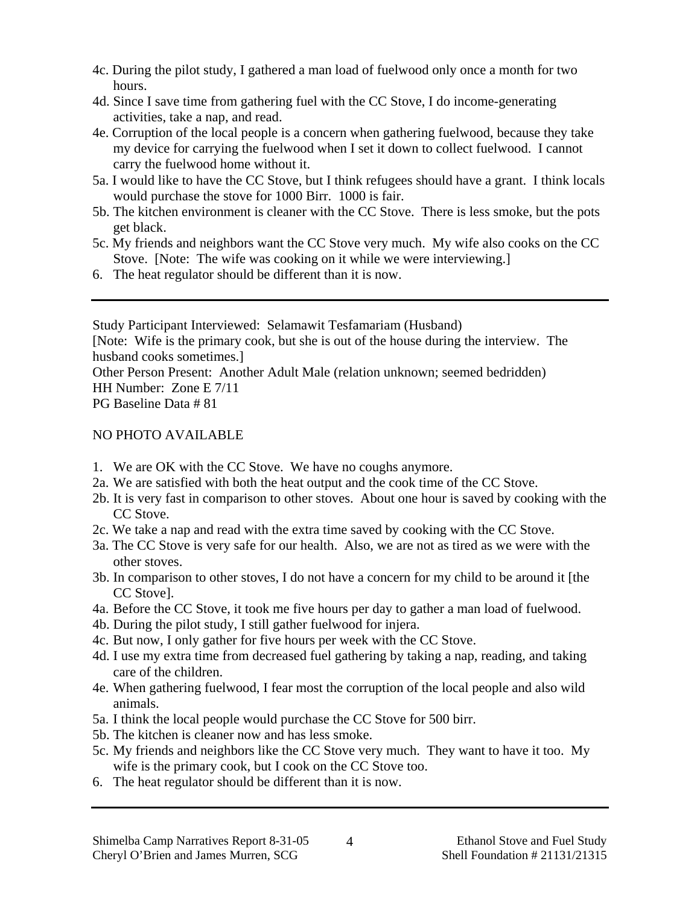- 4c. During the pilot study, I gathered a man load of fuelwood only once a month for two hours.
- 4d. Since I save time from gathering fuel with the CC Stove, I do income-generating activities, take a nap, and read.
- 4e. Corruption of the local people is a concern when gathering fuelwood, because they take my device for carrying the fuelwood when I set it down to collect fuelwood. I cannot carry the fuelwood home without it.
- 5a. I would like to have the CC Stove, but I think refugees should have a grant. I think locals would purchase the stove for 1000 Birr. 1000 is fair.
- 5b. The kitchen environment is cleaner with the CC Stove. There is less smoke, but the pots get black.
- 5c. My friends and neighbors want the CC Stove very much. My wife also cooks on the CC Stove. [Note: The wife was cooking on it while we were interviewing.]
- 6. The heat regulator should be different than it is now.

Study Participant Interviewed: Selamawit Tesfamariam (Husband) [Note: Wife is the primary cook, but she is out of the house during the interview. The husband cooks sometimes.] Other Person Present: Another Adult Male (relation unknown; seemed bedridden) HH Number: Zone E 7/11

PG Baseline Data # 81

# NO PHOTO AVAILABLE

- 1. We are OK with the CC Stove. We have no coughs anymore.
- 2a. We are satisfied with both the heat output and the cook time of the CC Stove.
- 2b. It is very fast in comparison to other stoves. About one hour is saved by cooking with the CC Stove.
- 2c. We take a nap and read with the extra time saved by cooking with the CC Stove.
- 3a. The CC Stove is very safe for our health. Also, we are not as tired as we were with the other stoves.
- 3b. In comparison to other stoves, I do not have a concern for my child to be around it [the CC Stove].
- 4a. Before the CC Stove, it took me five hours per day to gather a man load of fuelwood.
- 4b. During the pilot study, I still gather fuelwood for injera.
- 4c. But now, I only gather for five hours per week with the CC Stove.
- 4d. I use my extra time from decreased fuel gathering by taking a nap, reading, and taking care of the children.
- 4e. When gathering fuelwood, I fear most the corruption of the local people and also wild animals.
- 5a. I think the local people would purchase the CC Stove for 500 birr.
- 5b. The kitchen is cleaner now and has less smoke.
- 5c. My friends and neighbors like the CC Stove very much. They want to have it too. My wife is the primary cook, but I cook on the CC Stove too.
- 6. The heat regulator should be different than it is now.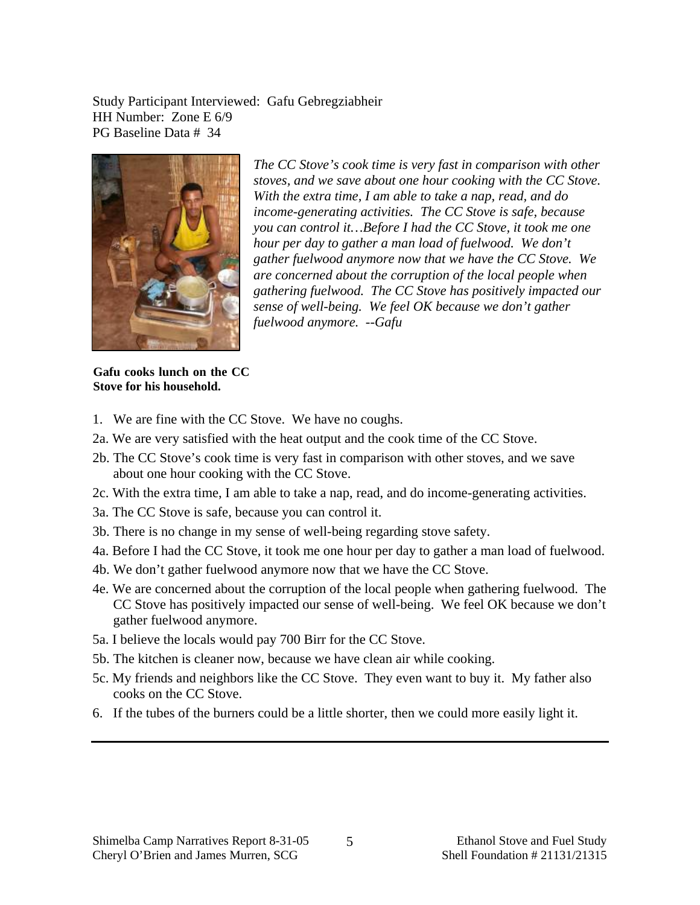Study Participant Interviewed: Gafu Gebregziabheir HH Number: Zone E 6/9 PG Baseline Data # 34



*The CC Stove's cook time is very fast in comparison with other stoves, and we save about one hour cooking with the CC Stove. With the extra time, I am able to take a nap, read, and do income-generating activities. The CC Stove is safe, because you can control it…Before I had the CC Stove, it took me one hour per day to gather a man load of fuelwood. We don't gather fuelwood anymore now that we have the CC Stove. We are concerned about the corruption of the local people when gathering fuelwood. The CC Stove has positively impacted our sense of well-being. We feel OK because we don't gather fuelwood anymore. --Gafu* 

**Gafu cooks lunch on the CC Stove for his household.** 

- 1. We are fine with the CC Stove. We have no coughs.
- 2a. We are very satisfied with the heat output and the cook time of the CC Stove.
- 2b. The CC Stove's cook time is very fast in comparison with other stoves, and we save about one hour cooking with the CC Stove.
- 2c. With the extra time, I am able to take a nap, read, and do income-generating activities.
- 3a. The CC Stove is safe, because you can control it.
- 3b. There is no change in my sense of well-being regarding stove safety.
- 4a. Before I had the CC Stove, it took me one hour per day to gather a man load of fuelwood.
- 4b. We don't gather fuelwood anymore now that we have the CC Stove.
- 4e. We are concerned about the corruption of the local people when gathering fuelwood. The CC Stove has positively impacted our sense of well-being. We feel OK because we don't gather fuelwood anymore.
- 5a. I believe the locals would pay 700 Birr for the CC Stove.
- 5b. The kitchen is cleaner now, because we have clean air while cooking.
- 5c. My friends and neighbors like the CC Stove. They even want to buy it. My father also cooks on the CC Stove.
- 6. If the tubes of the burners could be a little shorter, then we could more easily light it.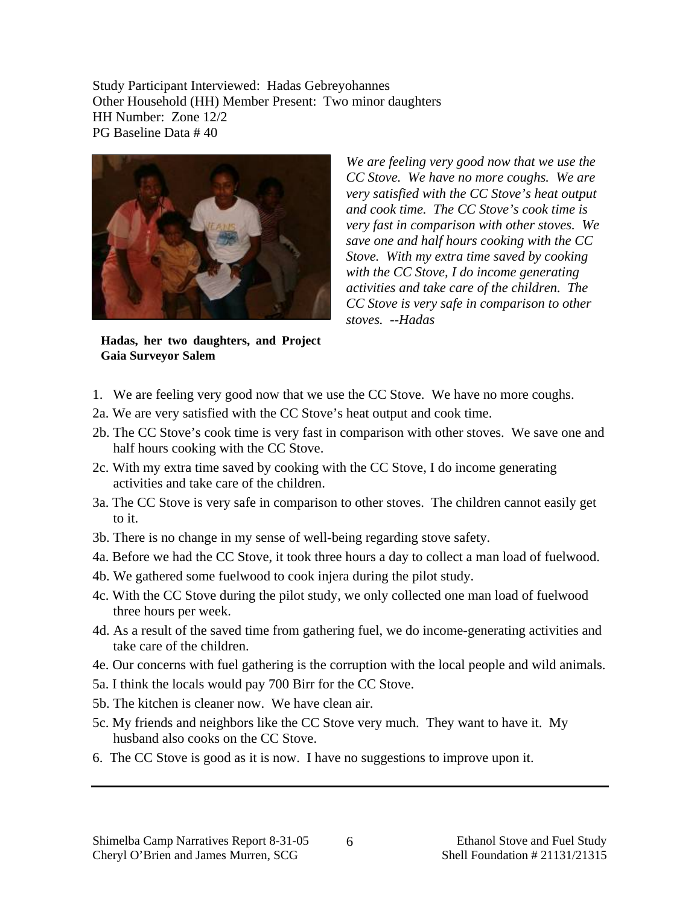Study Participant Interviewed: Hadas Gebreyohannes Other Household (HH) Member Present: Two minor daughters HH Number: Zone 12/2 PG Baseline Data # 40



*We are feeling very good now that we use the CC Stove. We have no more coughs. We are very satisfied with the CC Stove's heat output and cook time. The CC Stove's cook time is very fast in comparison with other stoves. We save one and half hours cooking with the CC Stove. With my extra time saved by cooking with the CC Stove, I do income generating activities and take care of the children. The CC Stove is very safe in comparison to other stoves. --Hadas* 

**Hadas, her two daughters, and Project Gaia Surveyor Salem** 

- 1. We are feeling very good now that we use the CC Stove. We have no more coughs.
- 2a. We are very satisfied with the CC Stove's heat output and cook time.
- 2b. The CC Stove's cook time is very fast in comparison with other stoves. We save one and half hours cooking with the CC Stove.
- 2c. With my extra time saved by cooking with the CC Stove, I do income generating activities and take care of the children.
- 3a. The CC Stove is very safe in comparison to other stoves. The children cannot easily get to it.
- 3b. There is no change in my sense of well-being regarding stove safety.
- 4a. Before we had the CC Stove, it took three hours a day to collect a man load of fuelwood.
- 4b. We gathered some fuelwood to cook injera during the pilot study.
- 4c. With the CC Stove during the pilot study, we only collected one man load of fuelwood three hours per week.
- 4d. As a result of the saved time from gathering fuel, we do income-generating activities and take care of the children.
- 4e. Our concerns with fuel gathering is the corruption with the local people and wild animals.
- 5a. I think the locals would pay 700 Birr for the CC Stove.
- 5b. The kitchen is cleaner now. We have clean air.
- 5c. My friends and neighbors like the CC Stove very much. They want to have it. My husband also cooks on the CC Stove.
- 6. The CC Stove is good as it is now. I have no suggestions to improve upon it.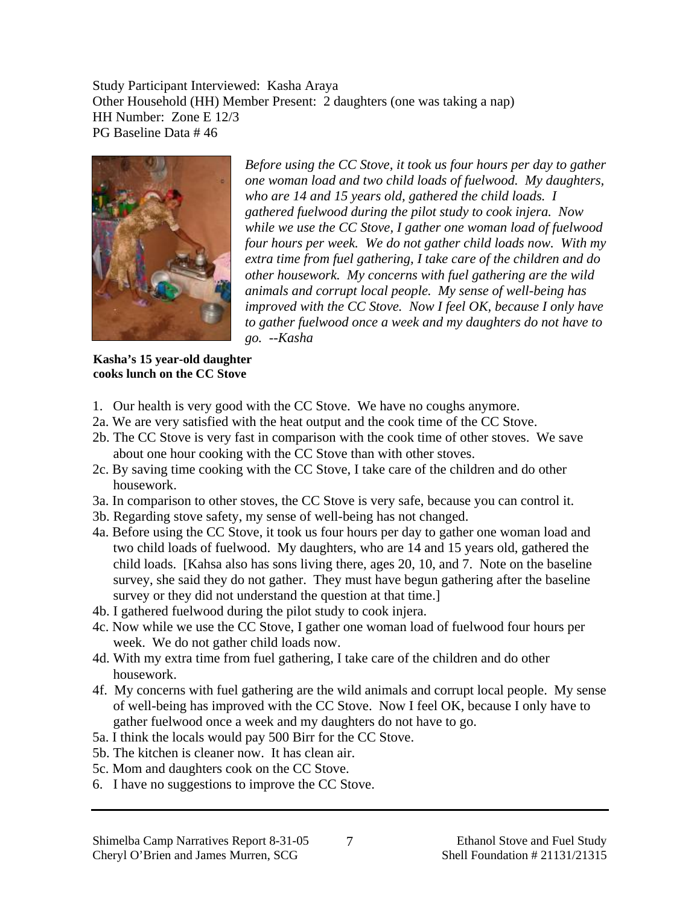Study Participant Interviewed: Kasha Araya Other Household (HH) Member Present: 2 daughters (one was taking a nap) HH Number: Zone E 12/3 PG Baseline Data # 46



*Before using the CC Stove, it took us four hours per day to gather one woman load and two child loads of fuelwood. My daughters, who are 14 and 15 years old, gathered the child loads. I gathered fuelwood during the pilot study to cook injera. Now while we use the CC Stove, I gather one woman load of fuelwood four hours per week. We do not gather child loads now. With my extra time from fuel gathering, I take care of the children and do other housework. My concerns with fuel gathering are the wild animals and corrupt local people. My sense of well-being has improved with the CC Stove. Now I feel OK, because I only have to gather fuelwood once a week and my daughters do not have to go. --Kasha* 

#### **Kasha's 15 year-old daughter cooks lunch on the CC Stove**

- 1. Our health is very good with the CC Stove. We have no coughs anymore.
- 2a. We are very satisfied with the heat output and the cook time of the CC Stove.
- 2b. The CC Stove is very fast in comparison with the cook time of other stoves. We save about one hour cooking with the CC Stove than with other stoves.
- 2c. By saving time cooking with the CC Stove, I take care of the children and do other housework.
- 3a. In comparison to other stoves, the CC Stove is very safe, because you can control it.
- 3b. Regarding stove safety, my sense of well-being has not changed.
- 4a. Before using the CC Stove, it took us four hours per day to gather one woman load and two child loads of fuelwood. My daughters, who are 14 and 15 years old, gathered the child loads. [Kahsa also has sons living there, ages 20, 10, and 7. Note on the baseline survey, she said they do not gather. They must have begun gathering after the baseline survey or they did not understand the question at that time.]
- 4b. I gathered fuelwood during the pilot study to cook injera.
- 4c. Now while we use the CC Stove, I gather one woman load of fuelwood four hours per week. We do not gather child loads now.
- 4d. With my extra time from fuel gathering, I take care of the children and do other housework.
- 4f. My concerns with fuel gathering are the wild animals and corrupt local people. My sense of well-being has improved with the CC Stove. Now I feel OK, because I only have to gather fuelwood once a week and my daughters do not have to go.
- 5a. I think the locals would pay 500 Birr for the CC Stove.
- 5b. The kitchen is cleaner now. It has clean air.
- 5c. Mom and daughters cook on the CC Stove.
- 6. I have no suggestions to improve the CC Stove.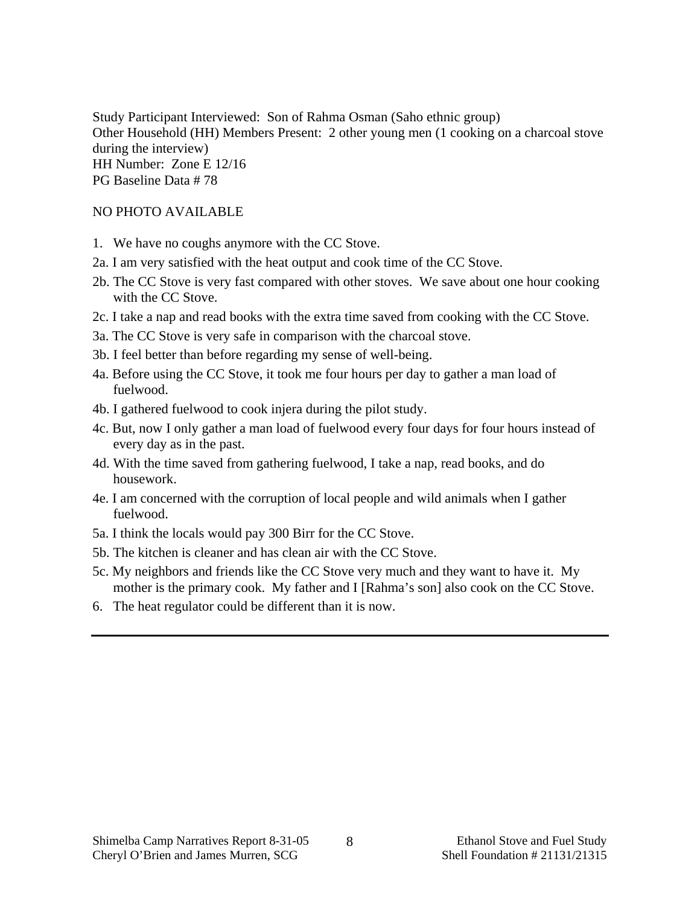Study Participant Interviewed: Son of Rahma Osman (Saho ethnic group) Other Household (HH) Members Present: 2 other young men (1 cooking on a charcoal stove during the interview) HH Number: Zone E 12/16 PG Baseline Data # 78

#### NO PHOTO AVAILABLE

- 1. We have no coughs anymore with the CC Stove.
- 2a. I am very satisfied with the heat output and cook time of the CC Stove.
- 2b. The CC Stove is very fast compared with other stoves. We save about one hour cooking with the CC Stove.
- 2c. I take a nap and read books with the extra time saved from cooking with the CC Stove.
- 3a. The CC Stove is very safe in comparison with the charcoal stove.
- 3b. I feel better than before regarding my sense of well-being.
- 4a. Before using the CC Stove, it took me four hours per day to gather a man load of fuelwood.
- 4b. I gathered fuelwood to cook injera during the pilot study.
- 4c. But, now I only gather a man load of fuelwood every four days for four hours instead of every day as in the past.
- 4d. With the time saved from gathering fuelwood, I take a nap, read books, and do housework.
- 4e. I am concerned with the corruption of local people and wild animals when I gather fuelwood.
- 5a. I think the locals would pay 300 Birr for the CC Stove.
- 5b. The kitchen is cleaner and has clean air with the CC Stove.
- 5c. My neighbors and friends like the CC Stove very much and they want to have it. My mother is the primary cook. My father and I [Rahma's son] also cook on the CC Stove.
- 6. The heat regulator could be different than it is now.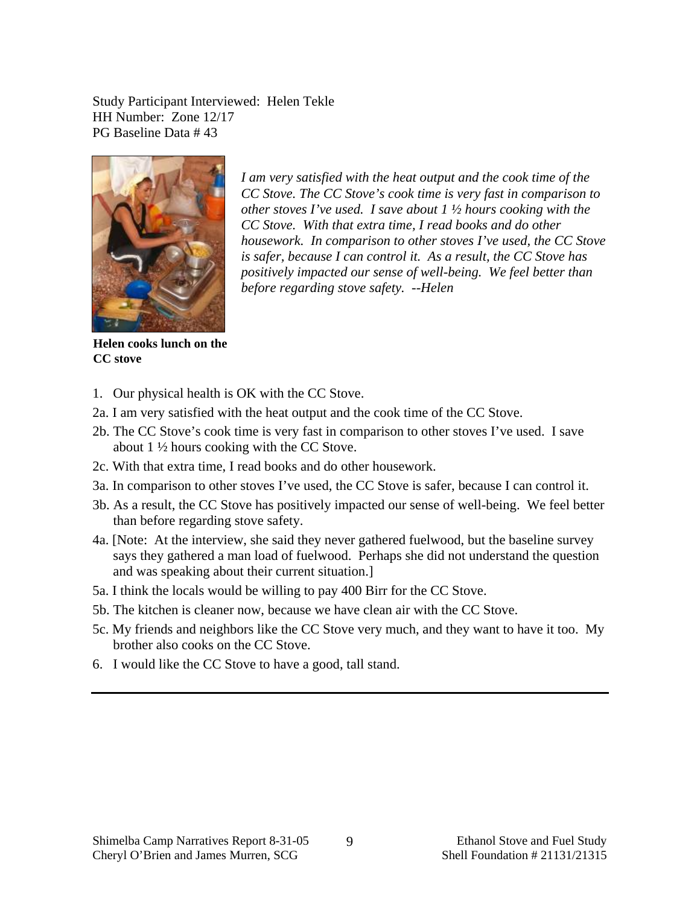Study Participant Interviewed: Helen Tekle HH Number: Zone 12/17 PG Baseline Data # 43



*I am very satisfied with the heat output and the cook time of the CC Stove. The CC Stove's cook time is very fast in comparison to other stoves I've used. I save about 1 ½ hours cooking with the CC Stove. With that extra time, I read books and do other housework. In comparison to other stoves I've used, the CC Stove is safer, because I can control it. As a result, the CC Stove has positively impacted our sense of well-being. We feel better than before regarding stove safety. --Helen* 

**Helen cooks lunch on the CC stove** 

- 1. Our physical health is OK with the CC Stove.
- 2a. I am very satisfied with the heat output and the cook time of the CC Stove.
- 2b. The CC Stove's cook time is very fast in comparison to other stoves I've used. I save about 1 ½ hours cooking with the CC Stove.
- 2c. With that extra time, I read books and do other housework.
- 3a. In comparison to other stoves I've used, the CC Stove is safer, because I can control it.
- 3b. As a result, the CC Stove has positively impacted our sense of well-being. We feel better than before regarding stove safety.
- 4a. [Note: At the interview, she said they never gathered fuelwood, but the baseline survey says they gathered a man load of fuelwood. Perhaps she did not understand the question and was speaking about their current situation.]
- 5a. I think the locals would be willing to pay 400 Birr for the CC Stove.
- 5b. The kitchen is cleaner now, because we have clean air with the CC Stove.
- 5c. My friends and neighbors like the CC Stove very much, and they want to have it too. My brother also cooks on the CC Stove.
- 6. I would like the CC Stove to have a good, tall stand.

9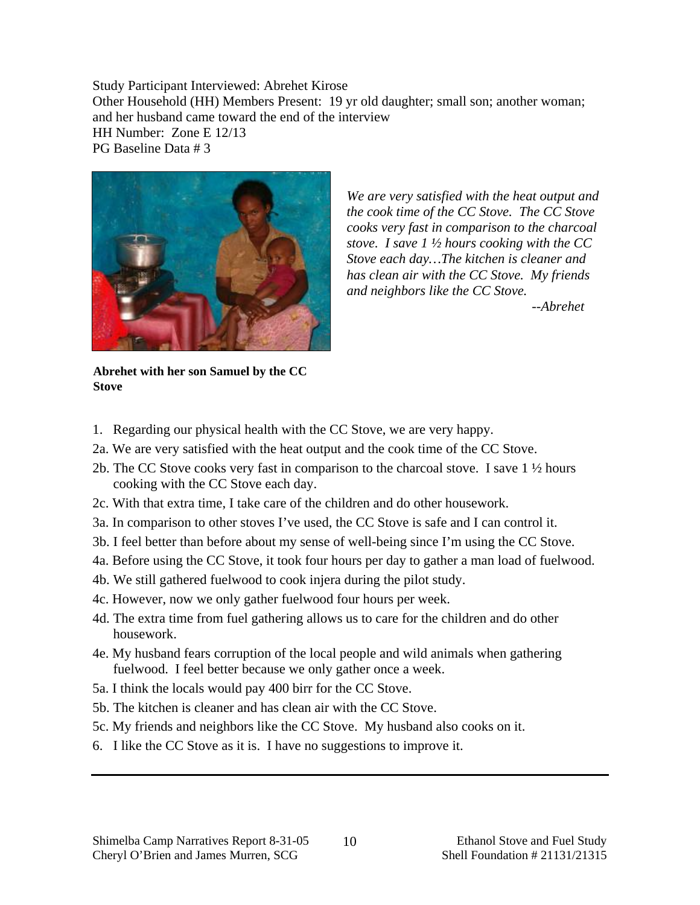Study Participant Interviewed: Abrehet Kirose Other Household (HH) Members Present: 19 yr old daughter; small son; another woman; and her husband came toward the end of the interview HH Number: Zone E 12/13 PG Baseline Data # 3



*We are very satisfied with the heat output and the cook time of the CC Stove. The CC Stove cooks very fast in comparison to the charcoal stove. I save 1 ½ hours cooking with the CC Stove each day…The kitchen is cleaner and has clean air with the CC Stove. My friends and neighbors like the CC Stove.* 

 *--Abrehet* 

**Abrehet with her son Samuel by the CC Stove** 

- 1. Regarding our physical health with the CC Stove, we are very happy.
- 2a. We are very satisfied with the heat output and the cook time of the CC Stove.
- 2b. The CC Stove cooks very fast in comparison to the charcoal stove. I save 1 ½ hours cooking with the CC Stove each day.
- 2c. With that extra time, I take care of the children and do other housework.
- 3a. In comparison to other stoves I've used, the CC Stove is safe and I can control it.
- 3b. I feel better than before about my sense of well-being since I'm using the CC Stove.
- 4a. Before using the CC Stove, it took four hours per day to gather a man load of fuelwood.
- 4b. We still gathered fuelwood to cook injera during the pilot study.
- 4c. However, now we only gather fuelwood four hours per week.
- 4d. The extra time from fuel gathering allows us to care for the children and do other housework.
- 4e. My husband fears corruption of the local people and wild animals when gathering fuelwood. I feel better because we only gather once a week.
- 5a. I think the locals would pay 400 birr for the CC Stove.
- 5b. The kitchen is cleaner and has clean air with the CC Stove.
- 5c. My friends and neighbors like the CC Stove. My husband also cooks on it.
- 6. I like the CC Stove as it is. I have no suggestions to improve it.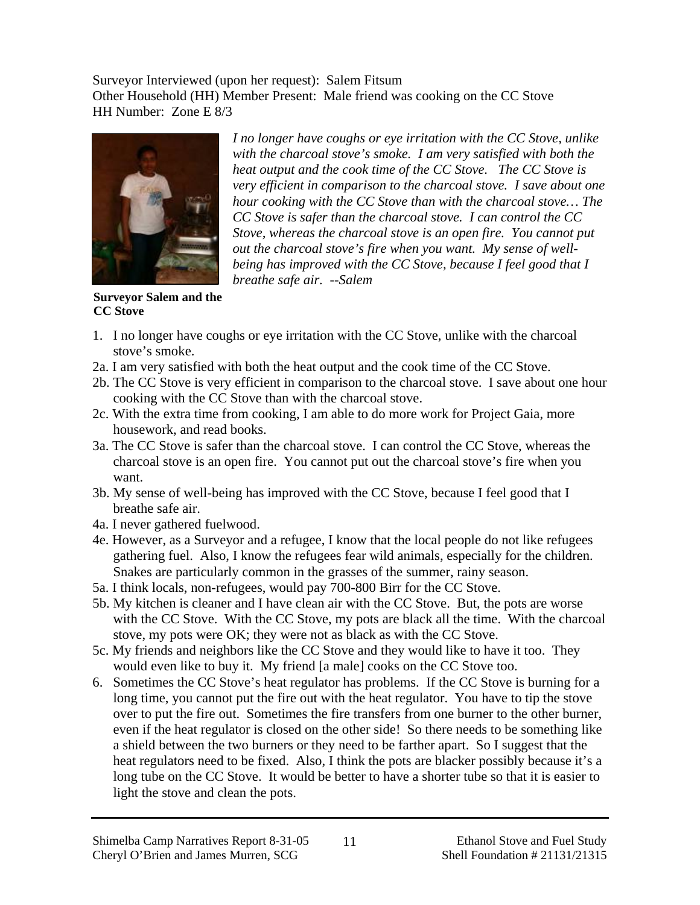Surveyor Interviewed (upon her request): Salem Fitsum Other Household (HH) Member Present: Male friend was cooking on the CC Stove HH Number: Zone E 8/3



*I no longer have coughs or eye irritation with the CC Stove, unlike with the charcoal stove's smoke. I am very satisfied with both the heat output and the cook time of the CC Stove. The CC Stove is very efficient in comparison to the charcoal stove. I save about one hour cooking with the CC Stove than with the charcoal stove… The CC Stove is safer than the charcoal stove. I can control the CC Stove, whereas the charcoal stove is an open fire. You cannot put out the charcoal stove's fire when you want. My sense of wellbeing has improved with the CC Stove, because I feel good that I breathe safe air. --Salem* 

**Surveyor Salem and the CC Stove** 

- 1. I no longer have coughs or eye irritation with the CC Stove, unlike with the charcoal stove's smoke.
- 2a. I am very satisfied with both the heat output and the cook time of the CC Stove.
- 2b. The CC Stove is very efficient in comparison to the charcoal stove. I save about one hour cooking with the CC Stove than with the charcoal stove.
- 2c. With the extra time from cooking, I am able to do more work for Project Gaia, more housework, and read books.
- 3a. The CC Stove is safer than the charcoal stove. I can control the CC Stove, whereas the charcoal stove is an open fire. You cannot put out the charcoal stove's fire when you want.
- 3b. My sense of well-being has improved with the CC Stove, because I feel good that I breathe safe air.
- 4a. I never gathered fuelwood.
- 4e. However, as a Surveyor and a refugee, I know that the local people do not like refugees gathering fuel. Also, I know the refugees fear wild animals, especially for the children. Snakes are particularly common in the grasses of the summer, rainy season.
- 5a. I think locals, non-refugees, would pay 700-800 Birr for the CC Stove.
- 5b. My kitchen is cleaner and I have clean air with the CC Stove. But, the pots are worse with the CC Stove. With the CC Stove, my pots are black all the time. With the charcoal stove, my pots were OK; they were not as black as with the CC Stove.
- 5c. My friends and neighbors like the CC Stove and they would like to have it too. They would even like to buy it. My friend [a male] cooks on the CC Stove too.
- 6. Sometimes the CC Stove's heat regulator has problems. If the CC Stove is burning for a long time, you cannot put the fire out with the heat regulator. You have to tip the stove over to put the fire out. Sometimes the fire transfers from one burner to the other burner, even if the heat regulator is closed on the other side! So there needs to be something like a shield between the two burners or they need to be farther apart. So I suggest that the heat regulators need to be fixed. Also, I think the pots are blacker possibly because it's a long tube on the CC Stove. It would be better to have a shorter tube so that it is easier to light the stove and clean the pots.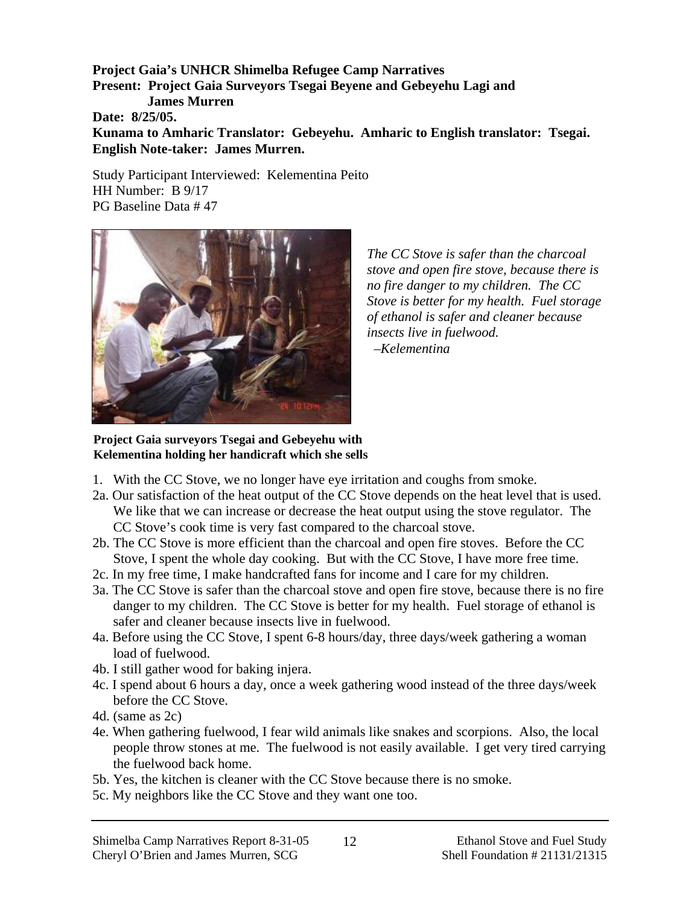**Project Gaia's UNHCR Shimelba Refugee Camp Narratives Present: Project Gaia Surveyors Tsegai Beyene and Gebeyehu Lagi and James Murren Date: 8/25/05. Kunama to Amharic Translator: Gebeyehu. Amharic to English translator: Tsegai. English Note-taker: James Murren.** 

Study Participant Interviewed: Kelementina Peito HH Number: B 9/17 PG Baseline Data # 47



*The CC Stove is safer than the charcoal stove and open fire stove, because there is no fire danger to my children. The CC Stove is better for my health. Fuel storage of ethanol is safer and cleaner because insects live in fuelwood.* 

 *–Kelementina* 

**Project Gaia surveyors Tsegai and Gebeyehu with Kelementina holding her handicraft which she sells** 

- 1. With the CC Stove, we no longer have eye irritation and coughs from smoke.
- 2a. Our satisfaction of the heat output of the CC Stove depends on the heat level that is used. We like that we can increase or decrease the heat output using the stove regulator. The CC Stove's cook time is very fast compared to the charcoal stove.
- 2b. The CC Stove is more efficient than the charcoal and open fire stoves. Before the CC Stove, I spent the whole day cooking. But with the CC Stove, I have more free time.
- 2c. In my free time, I make handcrafted fans for income and I care for my children.
- 3a. The CC Stove is safer than the charcoal stove and open fire stove, because there is no fire danger to my children. The CC Stove is better for my health. Fuel storage of ethanol is safer and cleaner because insects live in fuelwood.
- 4a. Before using the CC Stove, I spent 6-8 hours/day, three days/week gathering a woman load of fuelwood.
- 4b. I still gather wood for baking injera.
- 4c. I spend about 6 hours a day, once a week gathering wood instead of the three days/week before the CC Stove.
- 4d. (same as 2c)
- 4e. When gathering fuelwood, I fear wild animals like snakes and scorpions. Also, the local people throw stones at me. The fuelwood is not easily available. I get very tired carrying the fuelwood back home.
- 5b. Yes, the kitchen is cleaner with the CC Stove because there is no smoke.
- 5c. My neighbors like the CC Stove and they want one too.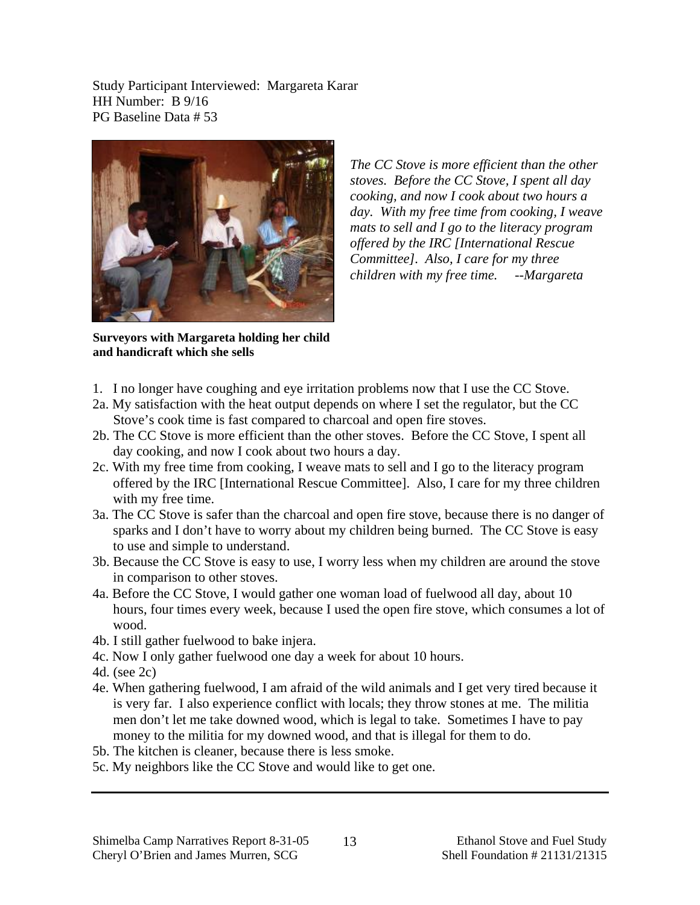Study Participant Interviewed: Margareta Karar HH Number: B 9/16 PG Baseline Data # 53



*The CC Stove is more efficient than the other stoves. Before the CC Stove, I spent all day cooking, and now I cook about two hours a day. With my free time from cooking, I weave mats to sell and I go to the literacy program offered by the IRC [International Rescue Committee]. Also, I care for my three children with my free time. --Margareta* 

**Surveyors with Margareta holding her child and handicraft which she sells** 

- 1. I no longer have coughing and eye irritation problems now that I use the CC Stove.
- 2a. My satisfaction with the heat output depends on where I set the regulator, but the CC Stove's cook time is fast compared to charcoal and open fire stoves.
- 2b. The CC Stove is more efficient than the other stoves. Before the CC Stove, I spent all day cooking, and now I cook about two hours a day.
- 2c. With my free time from cooking, I weave mats to sell and I go to the literacy program offered by the IRC [International Rescue Committee]. Also, I care for my three children with my free time.
- 3a. The CC Stove is safer than the charcoal and open fire stove, because there is no danger of sparks and I don't have to worry about my children being burned. The CC Stove is easy to use and simple to understand.
- 3b. Because the CC Stove is easy to use, I worry less when my children are around the stove in comparison to other stoves.
- 4a. Before the CC Stove, I would gather one woman load of fuelwood all day, about 10 hours, four times every week, because I used the open fire stove, which consumes a lot of wood.
- 4b. I still gather fuelwood to bake injera.
- 4c. Now I only gather fuelwood one day a week for about 10 hours.
- 4d. (see 2c)
- 4e. When gathering fuelwood, I am afraid of the wild animals and I get very tired because it is very far. I also experience conflict with locals; they throw stones at me. The militia men don't let me take downed wood, which is legal to take. Sometimes I have to pay money to the militia for my downed wood, and that is illegal for them to do.
- 5b. The kitchen is cleaner, because there is less smoke.
- 5c. My neighbors like the CC Stove and would like to get one.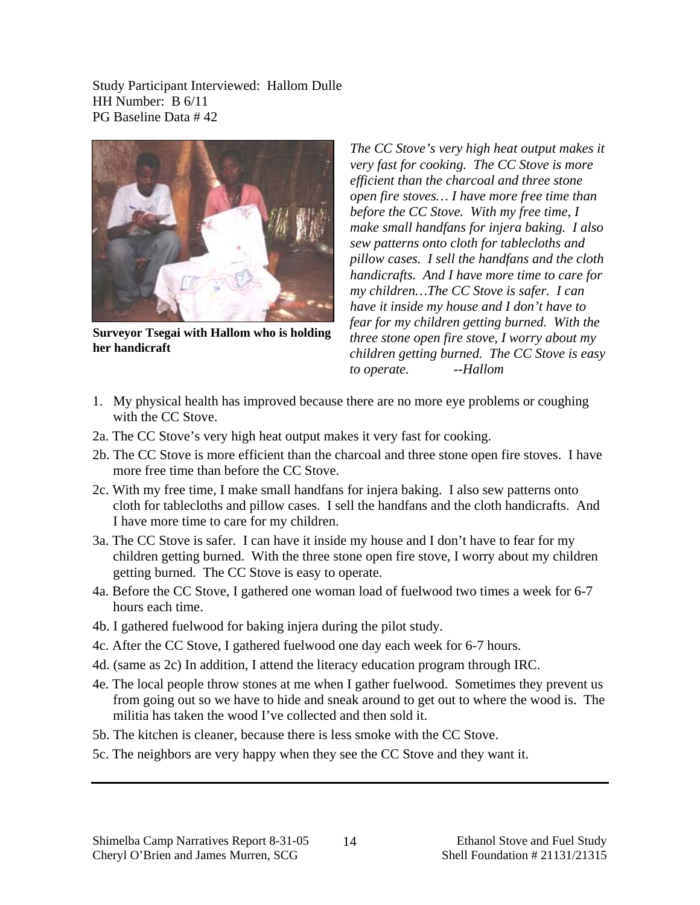Study Participant Interviewed: Hallom Dulle HH Number: B 6/11 PG Baseline Data # 42



**Surveyor Tsegai with Hallom who is holding her handicraft** 

*The CC Stove's very high heat output makes it very fast for cooking. The CC Stove is more efficient than the charcoal and three stone open fire stoves… I have more free time than before the CC Stove. With my free time, I make small handfans for injera baking. I also sew patterns onto cloth for tablecloths and pillow cases. I sell the handfans and the cloth handicrafts. And I have more time to care for my children…The CC Stove is safer. I can have it inside my house and I don't have to fear for my children getting burned. With the three stone open fire stove, I worry about my children getting burned. The CC Stove is easy to operate. --Hallom*

- 1. My physical health has improved because there are no more eye problems or coughing with the CC Stove.
- 2a. The CC Stove's very high heat output makes it very fast for cooking.
- 2b. The CC Stove is more efficient than the charcoal and three stone open fire stoves. I have more free time than before the CC Stove.
- 2c. With my free time, I make small handfans for injera baking. I also sew patterns onto cloth for tablecloths and pillow cases. I sell the handfans and the cloth handicrafts. And I have more time to care for my children.
- 3a. The CC Stove is safer. I can have it inside my house and I don't have to fear for my children getting burned. With the three stone open fire stove, I worry about my children getting burned. The CC Stove is easy to operate.
- 4a. Before the CC Stove, I gathered one woman load of fuelwood two times a week for 6-7 hours each time.
- 4b. I gathered fuelwood for baking injera during the pilot study.
- 4c. After the CC Stove, I gathered fuelwood one day each week for 6-7 hours.
- 4d. (same as 2c) In addition, I attend the literacy education program through IRC.
- 4e. The local people throw stones at me when I gather fuelwood. Sometimes they prevent us from going out so we have to hide and sneak around to get out to where the wood is. The militia has taken the wood I've collected and then sold it.
- 5b. The kitchen is cleaner, because there is less smoke with the CC Stove.
- 5c. The neighbors are very happy when they see the CC Stove and they want it.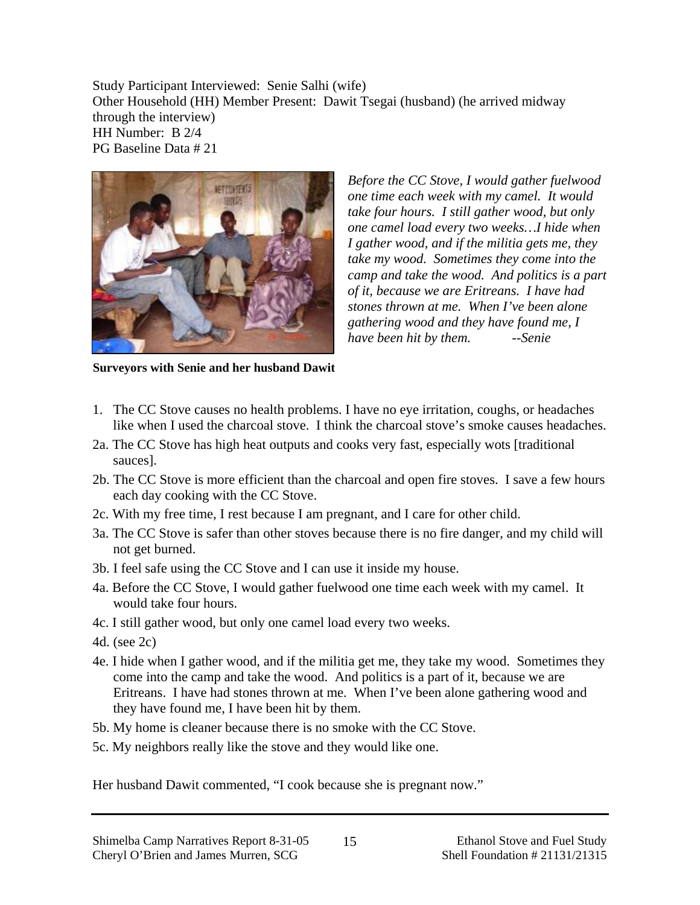Study Participant Interviewed: Senie Salhi (wife) Other Household (HH) Member Present: Dawit Tsegai (husband) (he arrived midway through the interview) HH Number: B 2/4 PG Baseline Data # 21



*Before the CC Stove, I would gather fuelwood one time each week with my camel. It would take four hours. I still gather wood, but only one camel load every two weeks…I hide when I gather wood, and if the militia gets me, they take my wood. Sometimes they come into the camp and take the wood. And politics is a part of it, because we are Eritreans. I have had stones thrown at me. When I've been alone gathering wood and they have found me, I have been hit by them. --Senie* 

**Surveyors with Senie and her husband Dawit** 

- 1. The CC Stove causes no health problems. I have no eye irritation, coughs, or headaches like when I used the charcoal stove. I think the charcoal stove's smoke causes headaches.
- 2a. The CC Stove has high heat outputs and cooks very fast, especially wots [traditional sauces].
- 2b. The CC Stove is more efficient than the charcoal and open fire stoves. I save a few hours each day cooking with the CC Stove.
- 2c. With my free time, I rest because I am pregnant, and I care for other child.
- 3a. The CC Stove is safer than other stoves because there is no fire danger, and my child will not get burned.
- 3b. I feel safe using the CC Stove and I can use it inside my house.
- 4a. Before the CC Stove, I would gather fuelwood one time each week with my camel. It would take four hours.
- 4c. I still gather wood, but only one camel load every two weeks.
- 4d. (see 2c)
- 4e. I hide when I gather wood, and if the militia get me, they take my wood. Sometimes they come into the camp and take the wood. And politics is a part of it, because we are Eritreans. I have had stones thrown at me. When I've been alone gathering wood and they have found me, I have been hit by them.
- 5b. My home is cleaner because there is no smoke with the CC Stove.
- 5c. My neighbors really like the stove and they would like one.

Her husband Dawit commented, "I cook because she is pregnant now."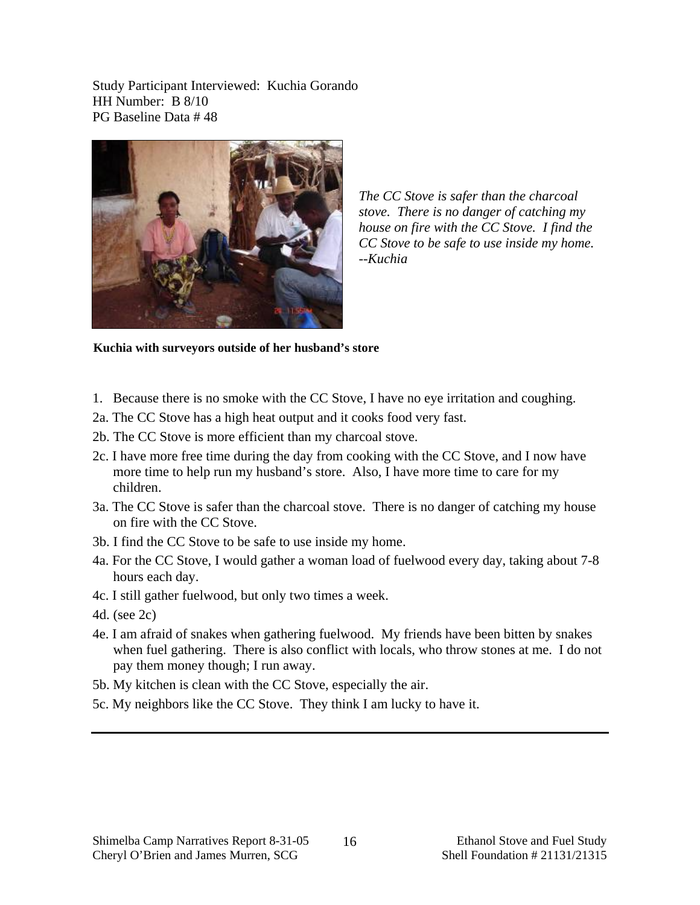Study Participant Interviewed: Kuchia Gorando HH Number: B 8/10 PG Baseline Data # 48



*The CC Stove is safer than the charcoal stove. There is no danger of catching my house on fire with the CC Stove. I find the CC Stove to be safe to use inside my home. --Kuchia* 

**Kuchia with surveyors outside of her husband's store** 

- 1. Because there is no smoke with the CC Stove, I have no eye irritation and coughing.
- 2a. The CC Stove has a high heat output and it cooks food very fast.
- 2b. The CC Stove is more efficient than my charcoal stove.
- 2c. I have more free time during the day from cooking with the CC Stove, and I now have more time to help run my husband's store. Also, I have more time to care for my children.
- 3a. The CC Stove is safer than the charcoal stove. There is no danger of catching my house on fire with the CC Stove.
- 3b. I find the CC Stove to be safe to use inside my home.
- 4a. For the CC Stove, I would gather a woman load of fuelwood every day, taking about 7-8 hours each day.
- 4c. I still gather fuelwood, but only two times a week.
- 4d. (see 2c)
- 4e. I am afraid of snakes when gathering fuelwood. My friends have been bitten by snakes when fuel gathering. There is also conflict with locals, who throw stones at me. I do not pay them money though; I run away.
- 5b. My kitchen is clean with the CC Stove, especially the air.
- 5c. My neighbors like the CC Stove. They think I am lucky to have it.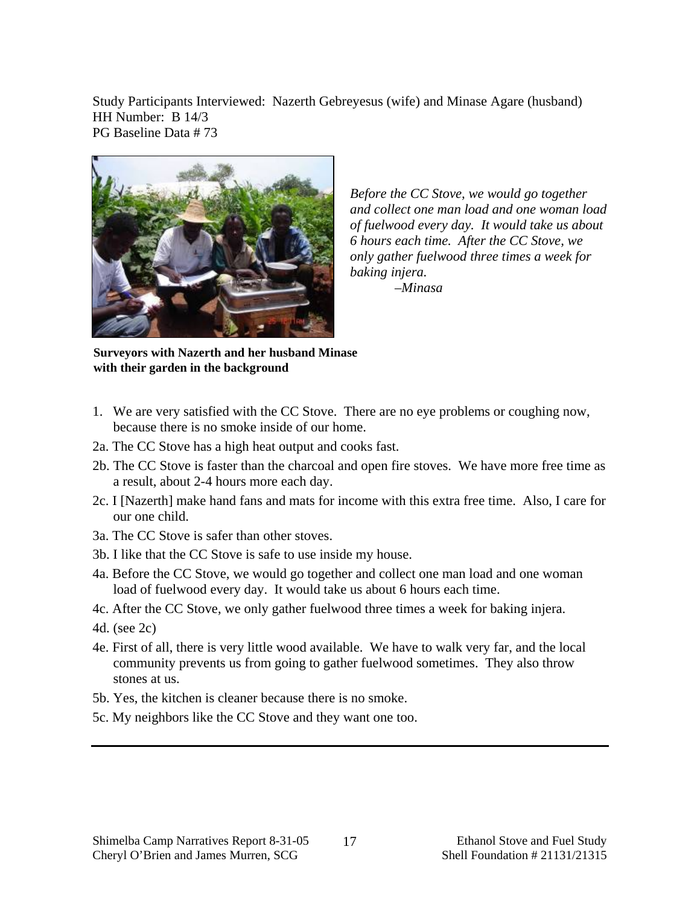Study Participants Interviewed: Nazerth Gebreyesus (wife) and Minase Agare (husband) HH Number: B 14/3 PG Baseline Data # 73



*Before the CC Stove, we would go together and collect one man load and one woman load of fuelwood every day. It would take us about 6 hours each time. After the CC Stove, we only gather fuelwood three times a week for baking injera.* 

 *–Minasa*

**Surveyors with Nazerth and her husband Minase with their garden in the background** 

- 1. We are very satisfied with the CC Stove. There are no eye problems or coughing now, because there is no smoke inside of our home.
- 2a. The CC Stove has a high heat output and cooks fast.
- 2b. The CC Stove is faster than the charcoal and open fire stoves. We have more free time as a result, about 2-4 hours more each day.
- 2c. I [Nazerth] make hand fans and mats for income with this extra free time. Also, I care for our one child.
- 3a. The CC Stove is safer than other stoves.
- 3b. I like that the CC Stove is safe to use inside my house.
- 4a. Before the CC Stove, we would go together and collect one man load and one woman load of fuelwood every day. It would take us about 6 hours each time.
- 4c. After the CC Stove, we only gather fuelwood three times a week for baking injera.
- 4d. (see 2c)
- 4e. First of all, there is very little wood available. We have to walk very far, and the local community prevents us from going to gather fuelwood sometimes. They also throw stones at us.
- 5b. Yes, the kitchen is cleaner because there is no smoke.
- 5c. My neighbors like the CC Stove and they want one too.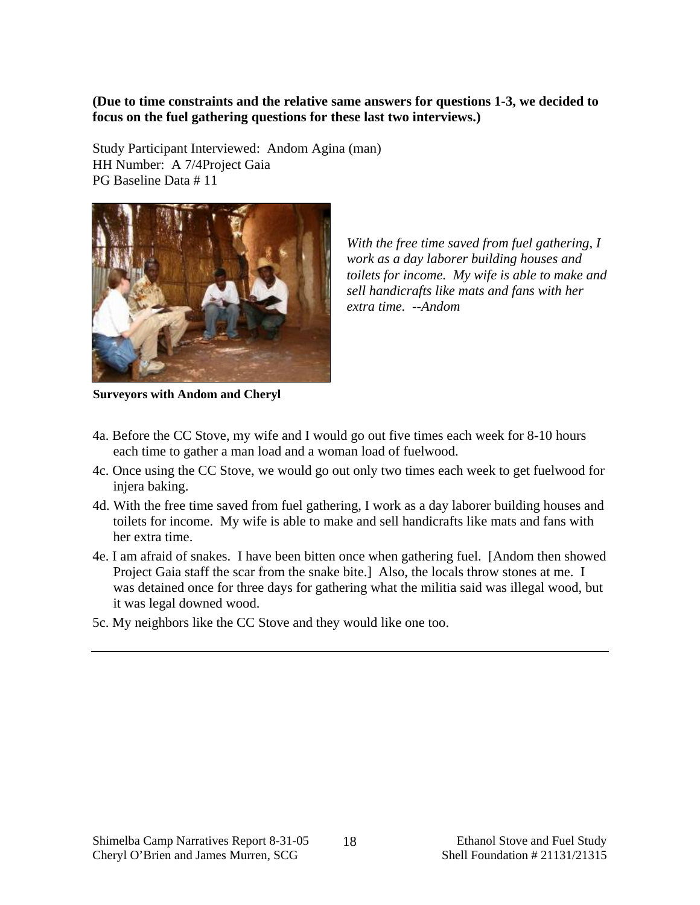**(Due to time constraints and the relative same answers for questions 1-3, we decided to focus on the fuel gathering questions for these last two interviews.)** 

Study Participant Interviewed: Andom Agina (man) HH Number: A 7/4Project Gaia PG Baseline Data # 11



*With the free time saved from fuel gathering, I work as a day laborer building houses and toilets for income. My wife is able to make and sell handicrafts like mats and fans with her extra time. --Andom* 

**Surveyors with Andom and Cheryl** 

- 4a. Before the CC Stove, my wife and I would go out five times each week for 8-10 hours each time to gather a man load and a woman load of fuelwood.
- 4c. Once using the CC Stove, we would go out only two times each week to get fuelwood for injera baking.
- 4d. With the free time saved from fuel gathering, I work as a day laborer building houses and toilets for income. My wife is able to make and sell handicrafts like mats and fans with her extra time.
- 4e. I am afraid of snakes. I have been bitten once when gathering fuel. [Andom then showed Project Gaia staff the scar from the snake bite.] Also, the locals throw stones at me. I was detained once for three days for gathering what the militia said was illegal wood, but it was legal downed wood.
- 5c. My neighbors like the CC Stove and they would like one too.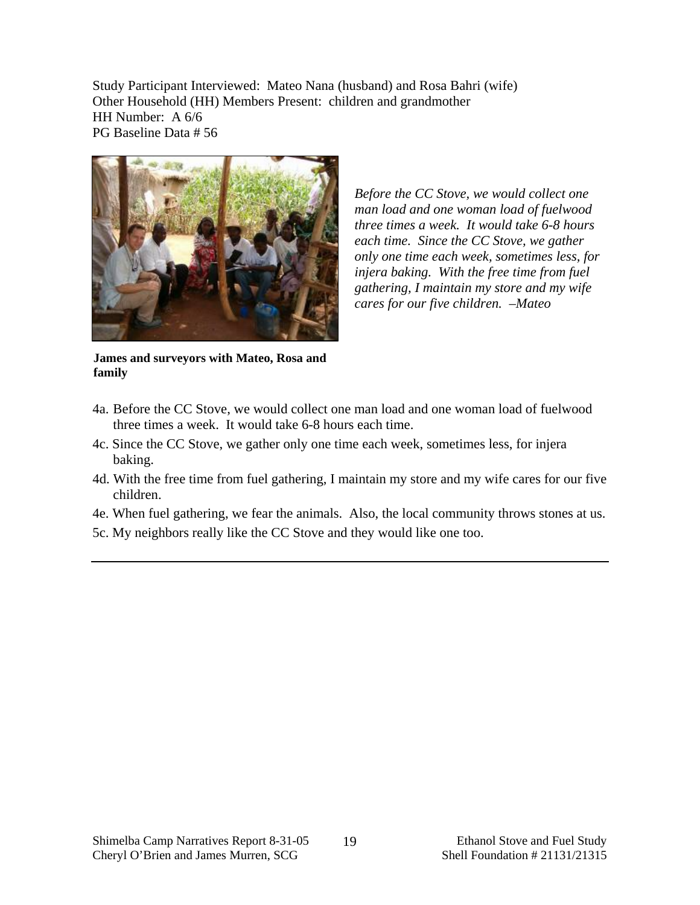Study Participant Interviewed: Mateo Nana (husband) and Rosa Bahri (wife) Other Household (HH) Members Present: children and grandmother HH Number: A 6/6 PG Baseline Data # 56



*Before the CC Stove, we would collect one man load and one woman load of fuelwood three times a week. It would take 6-8 hours each time. Since the CC Stove, we gather only one time each week, sometimes less, for injera baking. With the free time from fuel gathering, I maintain my store and my wife cares for our five children. –Mateo* 

**James and surveyors with Mateo, Rosa and family** 

- 4a. Before the CC Stove, we would collect one man load and one woman load of fuelwood three times a week. It would take 6-8 hours each time.
- 4c. Since the CC Stove, we gather only one time each week, sometimes less, for injera baking.
- 4d. With the free time from fuel gathering, I maintain my store and my wife cares for our five children.
- 4e. When fuel gathering, we fear the animals. Also, the local community throws stones at us.
- 5c. My neighbors really like the CC Stove and they would like one too.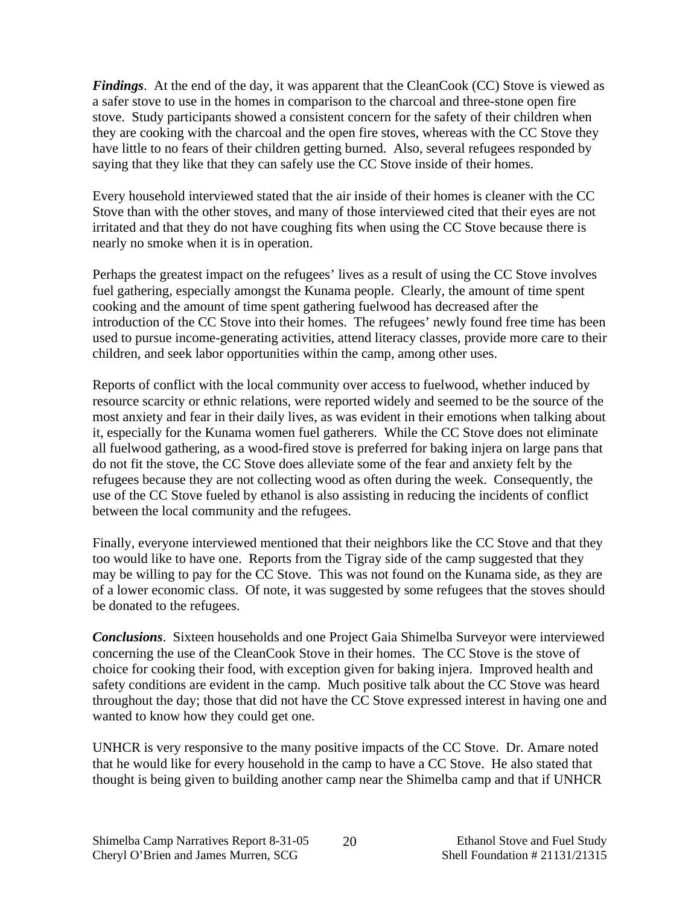*Findings*. At the end of the day, it was apparent that the CleanCook (CC) Stove is viewed as a safer stove to use in the homes in comparison to the charcoal and three-stone open fire stove. Study participants showed a consistent concern for the safety of their children when they are cooking with the charcoal and the open fire stoves, whereas with the CC Stove they have little to no fears of their children getting burned. Also, several refugees responded by saying that they like that they can safely use the CC Stove inside of their homes.

Every household interviewed stated that the air inside of their homes is cleaner with the CC Stove than with the other stoves, and many of those interviewed cited that their eyes are not irritated and that they do not have coughing fits when using the CC Stove because there is nearly no smoke when it is in operation.

Perhaps the greatest impact on the refugees' lives as a result of using the CC Stove involves fuel gathering, especially amongst the Kunama people. Clearly, the amount of time spent cooking and the amount of time spent gathering fuelwood has decreased after the introduction of the CC Stove into their homes. The refugees' newly found free time has been used to pursue income-generating activities, attend literacy classes, provide more care to their children, and seek labor opportunities within the camp, among other uses.

Reports of conflict with the local community over access to fuelwood, whether induced by resource scarcity or ethnic relations, were reported widely and seemed to be the source of the most anxiety and fear in their daily lives, as was evident in their emotions when talking about it, especially for the Kunama women fuel gatherers. While the CC Stove does not eliminate all fuelwood gathering, as a wood-fired stove is preferred for baking injera on large pans that do not fit the stove, the CC Stove does alleviate some of the fear and anxiety felt by the refugees because they are not collecting wood as often during the week. Consequently, the use of the CC Stove fueled by ethanol is also assisting in reducing the incidents of conflict between the local community and the refugees.

Finally, everyone interviewed mentioned that their neighbors like the CC Stove and that they too would like to have one. Reports from the Tigray side of the camp suggested that they may be willing to pay for the CC Stove. This was not found on the Kunama side, as they are of a lower economic class. Of note, it was suggested by some refugees that the stoves should be donated to the refugees.

*Conclusions*. Sixteen households and one Project Gaia Shimelba Surveyor were interviewed concerning the use of the CleanCook Stove in their homes. The CC Stove is the stove of choice for cooking their food, with exception given for baking injera. Improved health and safety conditions are evident in the camp. Much positive talk about the CC Stove was heard throughout the day; those that did not have the CC Stove expressed interest in having one and wanted to know how they could get one.

UNHCR is very responsive to the many positive impacts of the CC Stove. Dr. Amare noted that he would like for every household in the camp to have a CC Stove. He also stated that thought is being given to building another camp near the Shimelba camp and that if UNHCR

20